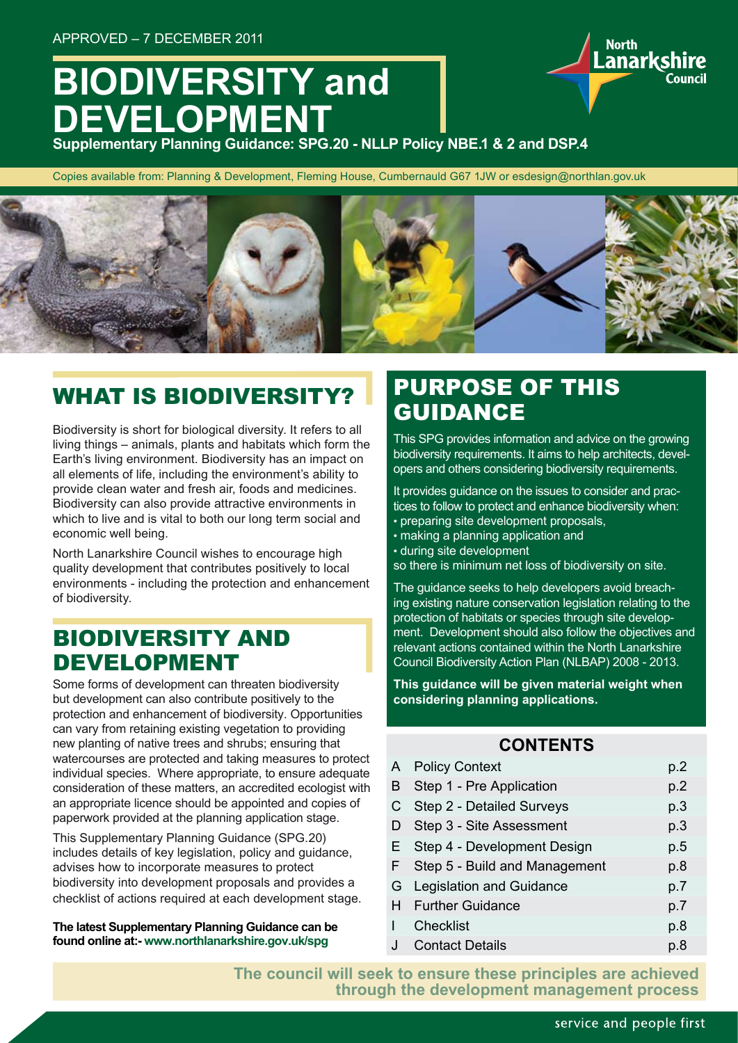# **BIODIVERSITY and DEVELOPMENT**

**Supplementary Planning Guidance: SPG.20 - NLLP Policy NBE.1 & 2 and DSP.4**

Copies available from: Planning & Development, Fleming House, Cumbernauld G67 1JW or esdesign@northlan.gov.uk



## WHAT IS BIODIVERSITY?

Biodiversity is short for biological diversity. It refers to all living things – animals, plants and habitats which form the Earth's living environment. Biodiversity has an impact on all elements of life, including the environment's ability to provide clean water and fresh air, foods and medicines. Biodiversity can also provide attractive environments in which to live and is vital to both our long term social and economic well being.

North Lanarkshire Council wishes to encourage high quality development that contributes positively to local environments - including the protection and enhancement of biodiversity.

### BIODIVERSITY AND DEVELOPMENT

Some forms of development can threaten biodiversity but development can also contribute positively to the protection and enhancement of biodiversity. Opportunities can vary from retaining existing vegetation to providing new planting of native trees and shrubs; ensuring that watercourses are protected and taking measures to protect individual species. Where appropriate, to ensure adequate consideration of these matters, an accredited ecologist with an appropriate licence should be appointed and copies of paperwork provided at the planning application stage.

This Supplementary Planning Guidance (SPG.20) includes details of key legislation, policy and guidance, advises how to incorporate measures to protect biodiversity into development proposals and provides a checklist of actions required at each development stage.

**The latest Supplementary Planning Guidance can be found online at:- www.northlanarkshire.gov.uk/spg**

### PURPOSE OF THIS GUIDANCE

This SPG provides information and advice on the growing biodiversity requirements. It aims to help architects, developers and others considering biodiversity requirements.

**North** 

Lanarkshire

It provides guidance on the issues to consider and practices to follow to protect and enhance biodiversity when: • preparing site development proposals,

- making a planning application and
- during site development
- so there is minimum net loss of biodiversity on site.

The guidance seeks to help developers avoid breaching existing nature conservation legislation relating to the protection of habitats or species through site development. Development should also follow the objectives and relevant actions contained within the North Lanarkshire Council Biodiversity Action Plan (NLBAP) 2008 - 2013.

**This guidance will be given material weight when considering planning applications.**

#### **CONTENTS**

|    | A Policy Context              | p.2 |
|----|-------------------------------|-----|
| B  | Step 1 - Pre Application      | p.2 |
| C  | Step 2 - Detailed Surveys     | p.3 |
| D  | Step 3 - Site Assessment      | p.3 |
|    | E Step 4 - Development Design | p.5 |
| F. | Step 5 - Build and Management | p.8 |
|    | G Legislation and Guidance    | p.7 |
|    | <b>H</b> Further Guidance     | p.7 |
|    | <b>Checklist</b>              | p.8 |
| J  | <b>Contact Details</b>        | p.8 |
|    |                               |     |

**The council will seek to ensure these principles are achieved through the development management process**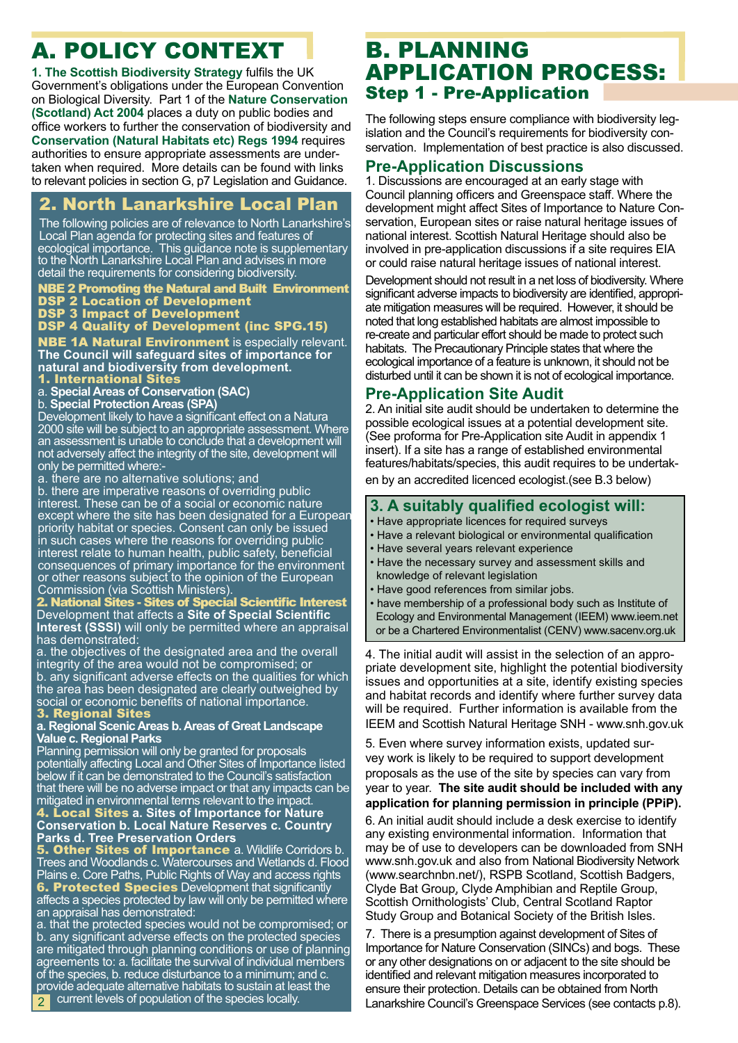## A. POLICY CONTEXT

**1. The Scottish Biodiversity Strategy** fulfils the UK Government's obligations under the European Convention on Biological Diversity. Part 1 of the **Nature Conservation (Scotland) Act 2004** places a duty on public bodies and office workers to further the conservation of biodiversity and **Conservation (Natural Habitats etc) Regs 1994** requires authorities to ensure appropriate assessments are undertaken when required. More details can be found with links to relevant policies in section G, p7 Legislation and Guidance.

### 2. North Lanarkshire Local Plan

The following policies are of relevance to North Lanarkshire's Local Plan agenda for protecting sites and features of ecological importance. This guidance note is supplementary to the North Lanarkshire Local Plan and advises in more detail the requirements for considering biodiversity.

#### NBE 2 Promoting the Natural and Built Environment DSP 2 Location of Development

DSP 3 Impact of Development

#### DSP 4 Quality of Development (inc SPG.15)

**NBE 1A Natural Environment** is especially relevant. **The Council will safeguard sites of importance for natural and biodiversity from development.**  1. International Sites

- 
- a. **Special Areas of Conservation (SAC)**

b. **Special Protection Areas (SPA)**

Development likely to have a significant effect on a Natura 2000 site will be subject to an appropriate assessment. Where an assessment is unable to conclude that a development will not adversely affect the integrity of the site, development will only be permitted where:-

a. there are no alternative solutions; and

b. there are imperative reasons of overriding public interest. These can be of a social or economic nature except where the site has been designated for a European priority habitat or species. Consent can only be issued in such cases where the reasons for overriding public interest relate to human health, public safety, beneficial consequences of primary importance for the environment or other reasons subject to the opinion of the European Commission (via Scottish Ministers).

#### 2. National Sites - Sites of Special Scientific Interest Development that affects a **Site of Special Scientific Interest (SSSI)** will only be permitted where an appraisal has demonstrated:

a. the objectives of the designated area and the overall integrity of the area would not be compromised; or b. any significant adverse effects on the qualities for which the area has been designated are clearly outweighed by social or economic benefits of national importance.

#### 3. Regional Sites

#### **a. Regional Scenic Areas b. Areas of Great Landscape Value c. Regional Parks**

Planning permission will only be granted for proposals potentially affecting Local and Other Sites of Importance listed below if it can be demonstrated to the Council's satisfaction that there will be no adverse impact or that any impacts can be mitigated in environmental terms relevant to the impact.

4. Local Sites **a. Sites of Importance for Nature Conservation b. Local Nature Reserves c. Country Parks d. Tree Preservation Orders**

**5. Other Sites of Importance a. Wildlife Corridors b.** Trees and Woodlands c. Watercourses and Wetlands d. Flood Plains e. Core Paths, Public Rights of Way and access rights **6. Protected Species** Development that significantly affects a species protected by law will only be permitted where an appraisal has demonstrated:

a. that the protected species would not be compromised; or b. any significant adverse effects on the protected species are mitigated through planning conditions or use of planning agreements to: a. facilitate the survival of individual members of the species, b. reduce disturbance to a minimum; and c. provide adequate alternative habitats to sustain at least the current levels of population of the species locally.  $\mathcal{D}$ 

### B. PLANNING APPLICATION PROCESS: Step 1 - Pre-Application

The following steps ensure compliance with biodiversity legislation and the Council's requirements for biodiversity conservation. Implementation of best practice is also discussed.

#### **Pre-Application Discussions**

1. Discussions are encouraged at an early stage with Council planning officers and Greenspace staff. Where the development might affect Sites of Importance to Nature Conservation, European sites or raise natural heritage issues of national interest. Scottish Natural Heritage should also be involved in pre-application discussions if a site requires EIA or could raise natural heritage issues of national interest.

Development should not result in a net loss of biodiversity. Where significant adverse impacts to biodiversity are identified, appropriate mitigation measures will be required. However, it should be noted that long established habitats are almost impossible to re-create and particular effort should be made to protect such habitats. The Precautionary Principle states that where the ecological importance of a feature is unknown, it should not be disturbed until it can be shown it is not of ecological importance.

#### **Pre-Application Site Audit**

2. An initial site audit should be undertaken to determine the possible ecological issues at a potential development site. (See proforma for Pre-Application site Audit in appendix 1 insert). If a site has a range of established environmental features/habitats/species, this audit requires to be undertaken by an accredited licenced ecologist.(see B.3 below)

#### **3. A suitably qualified ecologist will:**

- Have appropriate licences for required surveys
- Have a relevant biological or environmental qualification
- Have several years relevant experience
- Have the necessary survey and assessment skills and knowledge of relevant legislation
- Have good references from similar jobs.
- have membership of a professional body such as Institute of Ecology and Environmental Management (IEEM) www.ieem.net or be a Chartered Environmentalist (CENV) www.sacenv.org.uk

4. The initial audit will assist in the selection of an appropriate development site, highlight the potential biodiversity issues and opportunities at a site, identify existing species and habitat records and identify where further survey data will be required. Further information is available from the IEEM and Scottish Natural Heritage SNH - www.snh.gov.uk

5. Even where survey information exists, updated survey work is likely to be required to support development proposals as the use of the site by species can vary from year to year. **The site audit should be included with any application for planning permission in principle (PPiP).**

6. An initial audit should include a desk exercise to identify any existing environmental information. Information that may be of use to developers can be downloaded from SNH www.snh.gov.uk and also from National Biodiversity Network (www.searchnbn.net/), RSPB Scotland, Scottish Badgers, Clyde Bat Group, Clyde Amphibian and Reptile Group, Scottish Ornithologists' Club, Central Scotland Raptor Study Group and Botanical Society of the British Isles.

7. There is a presumption against development of Sites of Importance for Nature Conservation (SINCs) and bogs. These or any other designations on or adjacent to the site should be identified and relevant mitigation measures incorporated to ensure their protection. Details can be obtained from North Lanarkshire Council's Greenspace Services (see contacts p.8).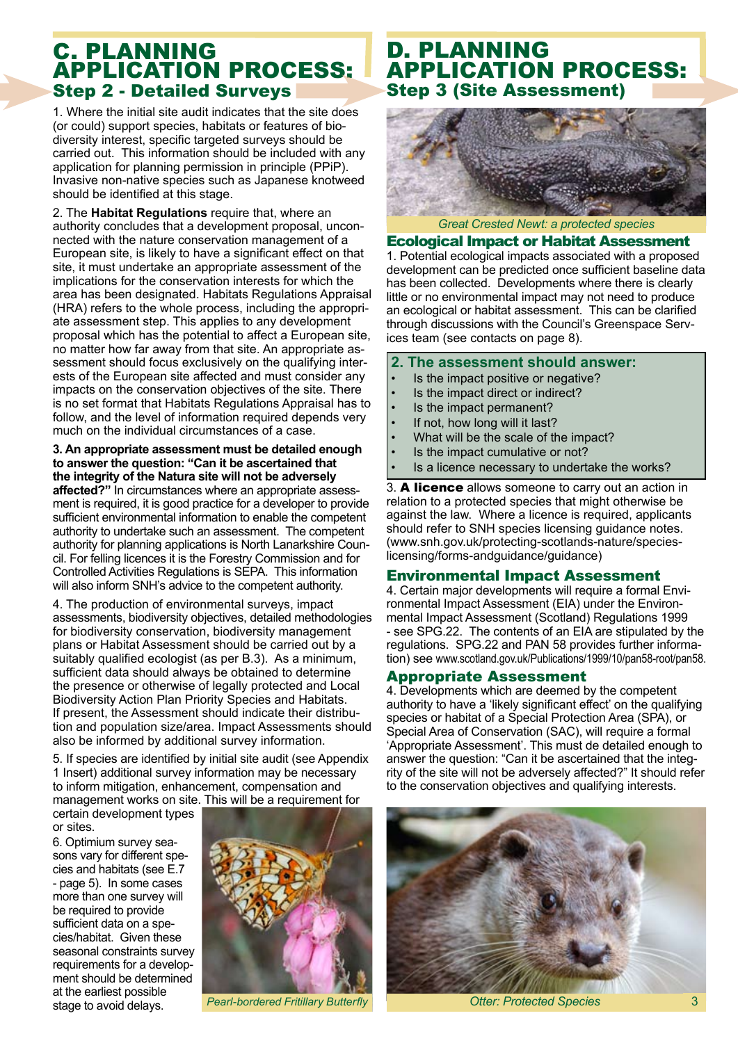### C. PLANNING APPLICATION PROCESS: Step 2 - Detailed Surveys

1. Where the initial site audit indicates that the site does (or could) support species, habitats or features of biodiversity interest, specific targeted surveys should be carried out. This information should be included with any application for planning permission in principle (PPiP). Invasive non-native species such as Japanese knotweed should be identified at this stage.

2. The **Habitat Regulations** require that, where an authority concludes that a development proposal, unconnected with the nature conservation management of a European site, is likely to have a significant effect on that site, it must undertake an appropriate assessment of the implications for the conservation interests for which the area has been designated. Habitats Regulations Appraisal (HRA) refers to the whole process, including the appropriate assessment step. This applies to any development proposal which has the potential to affect a European site, no matter how far away from that site. An appropriate assessment should focus exclusively on the qualifying interests of the European site affected and must consider any impacts on the conservation objectives of the site. There is no set format that Habitats Regulations Appraisal has to follow, and the level of information required depends very much on the individual circumstances of a case.

#### **3. An appropriate assessment must be detailed enough to answer the question: "Can it be ascertained that the integrity of the Natura site will not be adversely affected?"** In circumstances where an appropriate assessment is required, it is good practice for a developer to provide sufficient environmental information to enable the competent authority to undertake such an assessment. The competent authority for planning applications is North Lanarkshire Council. For felling licences it is the Forestry Commission and for Controlled Activities Regulations is SEPA. This information will also inform SNH's advice to the competent authority.

4. The production of environmental surveys, impact assessments, biodiversity objectives, detailed methodologies for biodiversity conservation, biodiversity management plans or Habitat Assessment should be carried out by a suitably qualified ecologist (as per B.3). As a minimum, sufficient data should always be obtained to determine the presence or otherwise of legally protected and Local Biodiversity Action Plan Priority Species and Habitats. If present, the Assessment should indicate their distribution and population size/area. Impact Assessments should also be informed by additional survey information.

5. If species are identified by initial site audit (see Appendix 1 Insert) additional survey information may be necessary to inform mitigation, enhancement, compensation and management works on site. This will be a requirement for

certain development types or sites.

6. Optimium survey seasons vary for different species and habitats (see E.7 - page 5). In some cases more than one survey will be required to provide sufficient data on a species/habitat. Given these seasonal constraints survey requirements for a development should be determined at the earliest possible stage to avoid delays. *Pearl-bordered Fritillary Butterfly*



### D. PLANNING APPLICATION PROCESS: Step 3 (Site Assessment)



*Great Crested Newt: a protected species*

#### Ecological Impact or Habitat Assessment

1. Potential ecological impacts associated with a proposed development can be predicted once sufficient baseline data has been collected. Developments where there is clearly little or no environmental impact may not need to produce an ecological or habitat assessment. This can be clarified through discussions with the Council's Greenspace Services team (see contacts on page 8).

#### **2. The assessment should answer:**

- Is the impact positive or negative?
- Is the impact direct or indirect?
- Is the impact permanent?
- If not, how long will it last?
- What will be the scale of the impact?
- Is the impact cumulative or not?
- Is a licence necessary to undertake the works?

3. A licence allows someone to carry out an action in relation to a protected species that might otherwise be against the law. Where a licence is required, applicants should refer to SNH species licensing guidance notes. (www.snh.gov.uk/protecting-scotlands-nature/specieslicensing/forms-andguidance/guidance)

#### Environmental Impact Assessment

4. Certain major developments will require a formal Environmental Impact Assessment (EIA) under the Environmental Impact Assessment (Scotland) Regulations 1999 - see SPG.22. The contents of an EIA are stipulated by the regulations. SPG.22 and PAN 58 provides further information) see www.scotland.gov.uk/Publications/1999/10/pan58-root/pan58.

#### Appropriate Assessment

4. Developments which are deemed by the competent authority to have a 'likely significant effect' on the qualifying species or habitat of a Special Protection Area (SPA), or Special Area of Conservation (SAC), will require a formal 'Appropriate Assessment'. This must de detailed enough to answer the question: "Can it be ascertained that the integrity of the site will not be adversely affected?" It should refer to the conservation objectives and qualifying interests.



*Otter: Protected Species*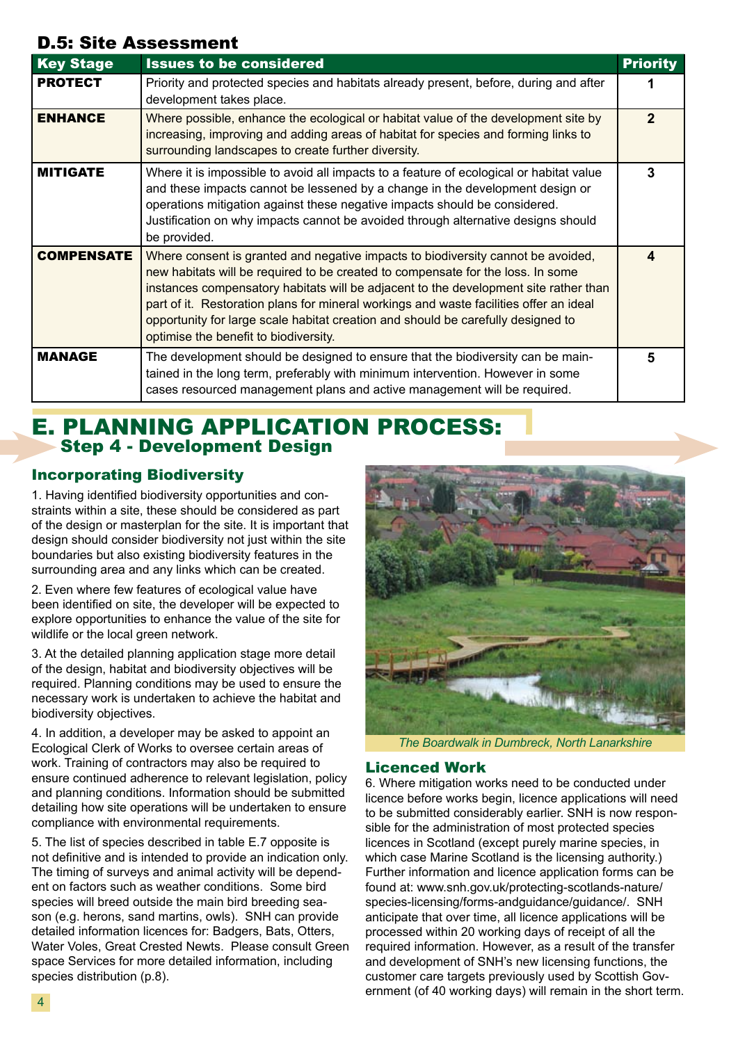### D.5: Site Assessment

| <b>Key Stage</b>  | <b>Issues to be considered</b>                                                                                                                                                                                                                                                                                                                                                                                                                                                     | <b>Priority</b> |
|-------------------|------------------------------------------------------------------------------------------------------------------------------------------------------------------------------------------------------------------------------------------------------------------------------------------------------------------------------------------------------------------------------------------------------------------------------------------------------------------------------------|-----------------|
| <b>PROTECT</b>    | Priority and protected species and habitats already present, before, during and after<br>development takes place.                                                                                                                                                                                                                                                                                                                                                                  |                 |
| <b>ENHANCE</b>    | Where possible, enhance the ecological or habitat value of the development site by<br>increasing, improving and adding areas of habitat for species and forming links to<br>surrounding landscapes to create further diversity.                                                                                                                                                                                                                                                    | $\mathbf{p}$    |
| <b>MITIGATE</b>   | Where it is impossible to avoid all impacts to a feature of ecological or habitat value<br>and these impacts cannot be lessened by a change in the development design or<br>operations mitigation against these negative impacts should be considered.<br>Justification on why impacts cannot be avoided through alternative designs should<br>be provided.                                                                                                                        | 3               |
| <b>COMPENSATE</b> | Where consent is granted and negative impacts to biodiversity cannot be avoided,<br>new habitats will be required to be created to compensate for the loss. In some<br>instances compensatory habitats will be adjacent to the development site rather than<br>part of it. Restoration plans for mineral workings and waste facilities offer an ideal<br>opportunity for large scale habitat creation and should be carefully designed to<br>optimise the benefit to biodiversity. | 4               |
| <b>MANAGE</b>     | The development should be designed to ensure that the biodiversity can be main-<br>tained in the long term, preferably with minimum intervention. However in some<br>cases resourced management plans and active management will be required.                                                                                                                                                                                                                                      | 5               |

### E. PLANNING APPLICATION PROCESS: Step 4 - Development Design

#### Incorporating Biodiversity

1. Having identified biodiversity opportunities and constraints within a site, these should be considered as part of the design or masterplan for the site. It is important that design should consider biodiversity not just within the site boundaries but also existing biodiversity features in the surrounding area and any links which can be created.

2. Even where few features of ecological value have been identified on site, the developer will be expected to explore opportunities to enhance the value of the site for wildlife or the local green network.

3. At the detailed planning application stage more detail of the design, habitat and biodiversity objectives will be required. Planning conditions may be used to ensure the necessary work is undertaken to achieve the habitat and biodiversity objectives.

4. In addition, a developer may be asked to appoint an Ecological Clerk of Works to oversee certain areas of work. Training of contractors may also be required to ensure continued adherence to relevant legislation, policy and planning conditions. Information should be submitted detailing how site operations will be undertaken to ensure compliance with environmental requirements.

5. The list of species described in table E.7 opposite is not definitive and is intended to provide an indication only. The timing of surveys and animal activity will be dependent on factors such as weather conditions. Some bird species will breed outside the main bird breeding season (e.g. herons, sand martins, owls). SNH can provide detailed information licences for: Badgers, Bats, Otters, Water Voles, Great Crested Newts. Please consult Green space Services for more detailed information, including species distribution (p.8).



*The Boardwalk in Dumbreck, North Lanarkshire*

#### Licenced Work

6. Where mitigation works need to be conducted under licence before works begin, licence applications will need to be submitted considerably earlier. SNH is now responsible for the administration of most protected species licences in Scotland (except purely marine species, in which case Marine Scotland is the licensing authority.) Further information and licence application forms can be found at: www.snh.gov.uk/protecting-scotlands-nature/ species-licensing/forms-andquidance/quidance/. SNH anticipate that over time, all licence applications will be processed within 20 working days of receipt of all the required information. However, as a result of the transfer and development of SNH's new licensing functions, the customer care targets previously used by Scottish Government (of 40 working days) will remain in the short term.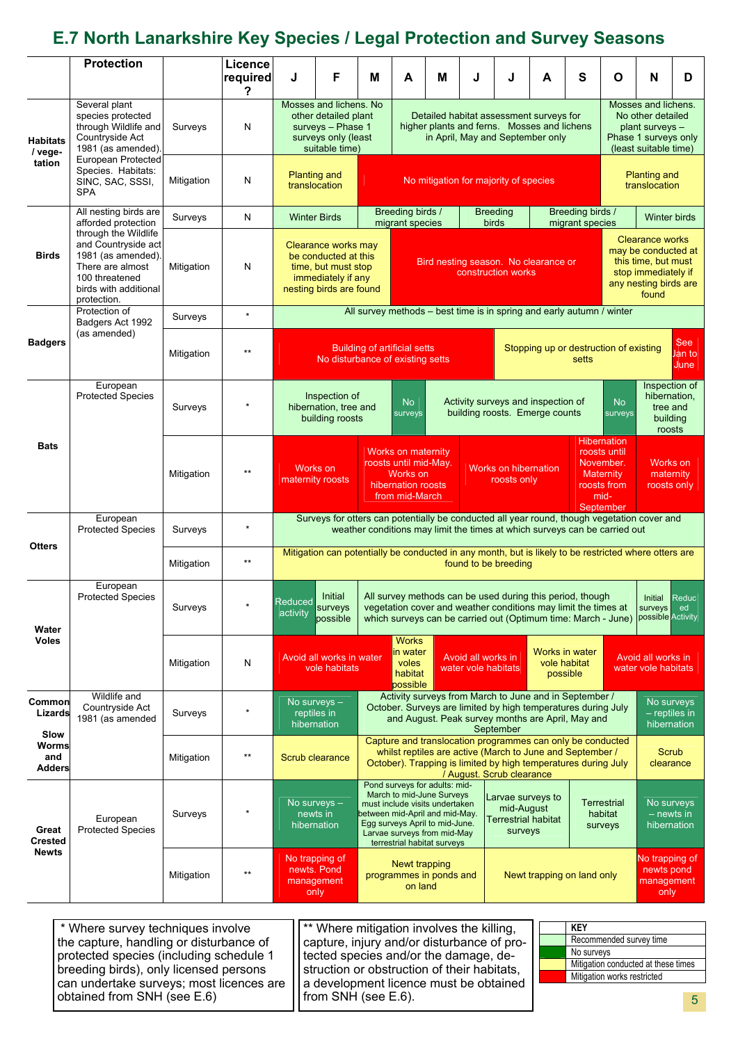### **E.7 North Lanarkshire Key Species / Legal Protection and Survey Seasons**

|                                         | <b>Protection</b>                                                                                                                               |            | Licence<br>required | J                                                                                                                                                                                                | F                                                                                                                 | M                                                                                                                                                                                                                                                                                                                                               | A                                                                                                                                                                                                                      | М | J | J                                                                                                                             | A                                                               | $\mathbf{s}$                                               | O                                                                                                                             | N                                                                                                                                               | D |  |
|-----------------------------------------|-------------------------------------------------------------------------------------------------------------------------------------------------|------------|---------------------|--------------------------------------------------------------------------------------------------------------------------------------------------------------------------------------------------|-------------------------------------------------------------------------------------------------------------------|-------------------------------------------------------------------------------------------------------------------------------------------------------------------------------------------------------------------------------------------------------------------------------------------------------------------------------------------------|------------------------------------------------------------------------------------------------------------------------------------------------------------------------------------------------------------------------|---|---|-------------------------------------------------------------------------------------------------------------------------------|-----------------------------------------------------------------|------------------------------------------------------------|-------------------------------------------------------------------------------------------------------------------------------|-------------------------------------------------------------------------------------------------------------------------------------------------|---|--|
| <b>Habitats</b><br>/ vege-<br>tation    | Several plant<br>species protected<br>through Wildlife and<br>Countryside Act<br>1981 (as amended)                                              | Surveys    | N                   | Mosses and lichens. No<br>other detailed plant<br>surveys - Phase 1<br>surveys only (least<br>suitable time)                                                                                     |                                                                                                                   |                                                                                                                                                                                                                                                                                                                                                 | Detailed habitat assessment surveys for<br>higher plants and ferns. Mosses and lichens<br>in April, May and September only                                                                                             |   |   |                                                                                                                               |                                                                 |                                                            | Mosses and lichens.<br>No other detailed<br>plant surveys -<br>Phase 1 surveys only<br>(least suitable time)                  |                                                                                                                                                 |   |  |
|                                         | <b>European Protected</b><br>Species. Habitats:<br>SINC, SAC, SSSI,<br><b>SPA</b>                                                               | Mitigation | N                   | <b>Planting and</b><br>translocation                                                                                                                                                             |                                                                                                                   |                                                                                                                                                                                                                                                                                                                                                 | No mitigation for majority of species                                                                                                                                                                                  |   |   |                                                                                                                               |                                                                 |                                                            | <b>Planting and</b><br>translocation                                                                                          |                                                                                                                                                 |   |  |
|                                         | All nesting birds are<br>afforded protection                                                                                                    | Surveys    | N                   | <b>Winter Birds</b>                                                                                                                                                                              |                                                                                                                   |                                                                                                                                                                                                                                                                                                                                                 | Breeding birds /<br>migrant species                                                                                                                                                                                    |   |   | <b>Breeding</b><br>birds                                                                                                      |                                                                 | Breeding birds /<br><b>Winter birds</b><br>migrant species |                                                                                                                               |                                                                                                                                                 |   |  |
| <b>Birds</b>                            | through the Wildlife<br>and Countryside act<br>1981 (as amended).<br>There are almost<br>100 threatened<br>birds with additional<br>protection. | Mitigation | N                   | Clearance works may<br>be conducted at this<br>time, but must stop<br>immediately if any<br>nesting birds are found                                                                              |                                                                                                                   |                                                                                                                                                                                                                                                                                                                                                 | Bird nesting season. No clearance or<br>construction works                                                                                                                                                             |   |   |                                                                                                                               |                                                                 |                                                            | <b>Clearance works</b><br>may be conducted at<br>this time, but must<br>stop immediately if<br>any nesting birds are<br>found |                                                                                                                                                 |   |  |
|                                         | Protection of<br>Badgers Act 1992                                                                                                               | Surveys    | $\star$             |                                                                                                                                                                                                  | All survey methods – best time is in spring and early autumn / winter                                             |                                                                                                                                                                                                                                                                                                                                                 |                                                                                                                                                                                                                        |   |   |                                                                                                                               |                                                                 |                                                            |                                                                                                                               |                                                                                                                                                 |   |  |
| <b>Badgers</b>                          | (as amended)                                                                                                                                    | Mitigation |                     |                                                                                                                                                                                                  | <b>Building of artificial setts</b><br>Stopping up or destruction of existing<br>No disturbance of existing setts |                                                                                                                                                                                                                                                                                                                                                 |                                                                                                                                                                                                                        |   |   |                                                                                                                               | setts                                                           | <b>See</b><br>lan to<br>June                               |                                                                                                                               |                                                                                                                                                 |   |  |
| <b>Bats</b>                             | European<br><b>Protected Species</b>                                                                                                            | Surveys    |                     | Inspection of<br>Activity surveys and inspection of<br><b>No</b><br>hibernation, tree and<br>building roosts. Emerge counts<br>surveys<br>building roosts                                        |                                                                                                                   |                                                                                                                                                                                                                                                                                                                                                 |                                                                                                                                                                                                                        |   |   | <b>No</b><br>surveys                                                                                                          | Inspection of<br>hibernation,<br>tree and<br>building<br>roosts |                                                            |                                                                                                                               |                                                                                                                                                 |   |  |
|                                         |                                                                                                                                                 | Mitigation |                     |                                                                                                                                                                                                  | Works on<br>maternity roosts                                                                                      |                                                                                                                                                                                                                                                                                                                                                 | <b>Works on maternity</b><br>roosts until mid-May.<br>Works on<br>hibernation roosts<br>from mid-March                                                                                                                 |   |   | <b>Works on hibernation</b><br>roosts only                                                                                    |                                                                 |                                                            |                                                                                                                               | <b>Hibernation</b><br>roosts until<br>November.<br>Works on<br><b>Maternity</b><br>maternity<br>roosts from<br>roosts only<br>mid-<br>September |   |  |
|                                         | European<br><b>Protected Species</b>                                                                                                            | Surveys    |                     | Surveys for otters can potentially be conducted all year round, though vegetation cover and<br>weather conditions may limit the times at which surveys can be carried out                        |                                                                                                                   |                                                                                                                                                                                                                                                                                                                                                 |                                                                                                                                                                                                                        |   |   |                                                                                                                               |                                                                 |                                                            |                                                                                                                               |                                                                                                                                                 |   |  |
| <b>Otters</b>                           |                                                                                                                                                 | Mitigation | $^{\star\star}$     |                                                                                                                                                                                                  |                                                                                                                   |                                                                                                                                                                                                                                                                                                                                                 |                                                                                                                                                                                                                        |   |   | Mitigation can potentially be conducted in any month, but is likely to be restricted where otters are<br>found to be breeding |                                                                 |                                                            |                                                                                                                               |                                                                                                                                                 |   |  |
| Water<br><b>Voles</b>                   | European<br><b>Protected Species</b>                                                                                                            | Surveys    |                     | <b>Reduced</b><br>activity                                                                                                                                                                       | Initial<br>surveys<br>possible                                                                                    |                                                                                                                                                                                                                                                                                                                                                 | All survey methods can be used during this period, though<br>vegetation cover and weather conditions may limit the times at<br>which surveys can be carried out (Optimum time: March - June)   possible Activity       |   |   |                                                                                                                               |                                                                 |                                                            |                                                                                                                               | $\vert$ Reduc $\vert$<br>Initial<br>surveys<br>ed                                                                                               |   |  |
|                                         |                                                                                                                                                 | Mitigation | N                   | <b>Works</b><br>Works in water<br>in water<br>Avoid all works in<br>Avoid all works in water<br>vole habitat<br>voles<br>vole habitats<br>water vole habitats<br>habitat<br>possible<br>possible |                                                                                                                   |                                                                                                                                                                                                                                                                                                                                                 |                                                                                                                                                                                                                        |   |   |                                                                                                                               |                                                                 | Avoid all works in<br>water vole habitats                  |                                                                                                                               |                                                                                                                                                 |   |  |
| Common<br>Lizards                       | Wildlife and<br>Countryside Act<br>1981 (as amended                                                                                             | Surveys    |                     |                                                                                                                                                                                                  | No surveys $-$<br>reptiles in<br>hibernation                                                                      | Activity surveys from March to June and in September /<br>October. Surveys are limited by high temperatures during July<br>and August. Peak survey months are April, May and<br>September                                                                                                                                                       |                                                                                                                                                                                                                        |   |   |                                                                                                                               |                                                                 | No surveys<br>$-$ reptiles in<br>hibernation               |                                                                                                                               |                                                                                                                                                 |   |  |
| Slow<br>Worms<br>and<br>Adders          |                                                                                                                                                 | Mitigation | $***$               |                                                                                                                                                                                                  | <b>Scrub clearance</b>                                                                                            |                                                                                                                                                                                                                                                                                                                                                 | Capture and translocation programmes can only be conducted<br>whilst reptiles are active (March to June and September /<br>October). Trapping is limited by high temperatures during July<br>/ August. Scrub clearance |   |   |                                                                                                                               |                                                                 |                                                            |                                                                                                                               | Scrub<br>clearance                                                                                                                              |   |  |
| Great<br><b>Crested</b><br><b>Newts</b> | European<br><b>Protected Species</b>                                                                                                            | Surveys    |                     |                                                                                                                                                                                                  | No surveys $-$<br>newts in<br>hibernation                                                                         | Pond surveys for adults: mid-<br>March to mid-June Surveys<br>Larvae surveys to<br><b>Terrestrial</b><br>must include visits undertaken<br>mid-August<br>between mid-April and mid-May.<br>habitat<br>Terrestrial habitat<br>Egg surveys April to mid-June.<br>surveys<br>surveys<br>Larvae surveys from mid-May<br>terrestrial habitat surveys |                                                                                                                                                                                                                        |   |   |                                                                                                                               | No surveys<br>$-$ newts in<br>hibernation                       |                                                            |                                                                                                                               |                                                                                                                                                 |   |  |
|                                         |                                                                                                                                                 | Mitigation | $***$               |                                                                                                                                                                                                  | No trapping of<br>newts. Pond<br>management<br>only                                                               |                                                                                                                                                                                                                                                                                                                                                 | Newt trapping<br>Newt trapping on land only<br>programmes in ponds and<br>on land                                                                                                                                      |   |   |                                                                                                                               |                                                                 |                                                            | No trapping of<br>newts pond<br>management<br>only                                                                            |                                                                                                                                                 |   |  |

5 \* Where survey techniques involve the capture, handling or disturbance of protected species (including schedule 1 breeding birds), only licensed persons can undertake surveys; most licences are obtained from SNH (see E.6) \*\* Where mitigation involves the killing, capture, injury and/or disturbance of protected species and/or the damage, destruction or obstruction of their habitats, a development licence must be obtained from SNH (see E.6). **KEY** Recommended survey time No surveys Mitigation conducted at these times Mitigation works restricted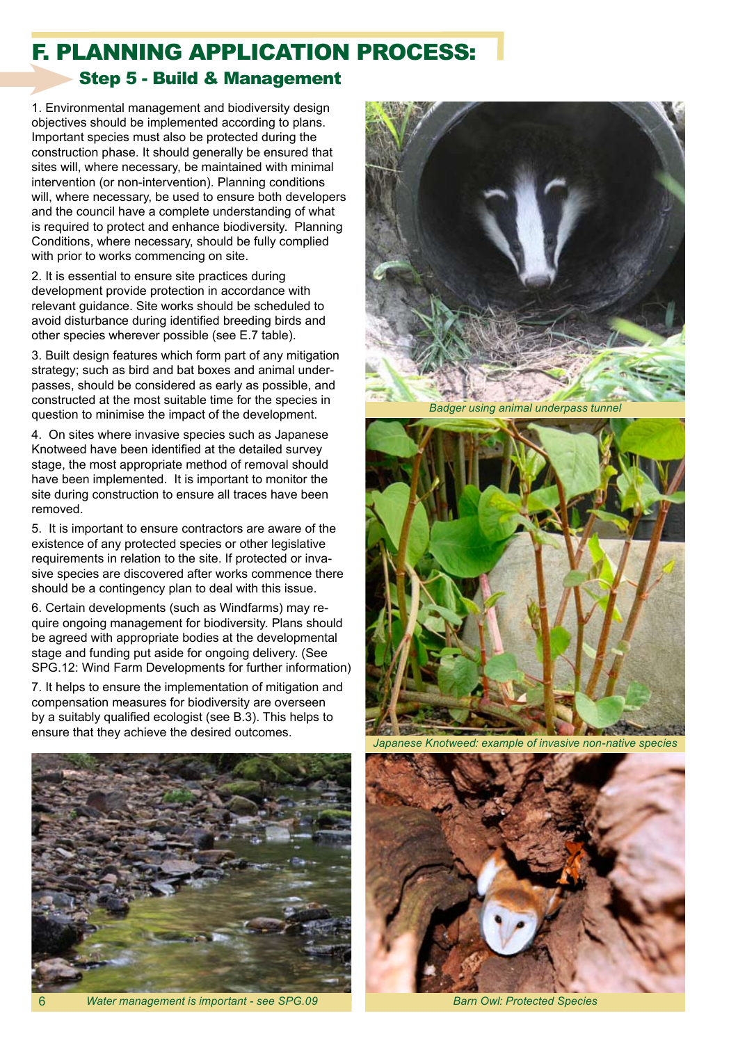## F. PLANNING APPLICATION PROCESS:

#### Step 5 - Build & Management

1. Environmental management and biodiversity design objectives should be implemented according to plans. Important species must also be protected during the construction phase. It should generally be ensured that sites will, where necessary, be maintained with minimal intervention (or non-intervention). Planning conditions will, where necessary, be used to ensure both developers and the council have a complete understanding of what is required to protect and enhance biodiversity. Planning Conditions, where necessary, should be fully complied with prior to works commencing on site.

2. It is essential to ensure site practices during development provide protection in accordance with relevant guidance. Site works should be scheduled to avoid disturbance during identified breeding birds and other species wherever possible (see E.7 table).

3. Built design features which form part of any mitigation strategy; such as bird and bat boxes and animal underpasses, should be considered as early as possible, and constructed at the most suitable time for the species in question to minimise the impact of the development.

4. On sites where invasive species such as Japanese Knotweed have been identified at the detailed survey stage, the most appropriate method of removal should have been implemented. It is important to monitor the site during construction to ensure all traces have been removed.

5. It is important to ensure contractors are aware of the existence of any protected species or other legislative requirements in relation to the site. If protected or invasive species are discovered after works commence there should be a contingency plan to deal with this issue.

6. Certain developments (such as Windfarms) may require ongoing management for biodiversity. Plans should be agreed with appropriate bodies at the developmental stage and funding put aside for ongoing delivery. (See SPG.12: Wind Farm Developments for further information)

7. It helps to ensure the implementation of mitigation and compensation measures for biodiversity are overseen by a suitably qualified ecologist (see B.3). This helps to ensure that they achieve the desired outcomes.



*Water management is important - see SPG.09 Barn Owl: Protected Species*

6



*Badger using animal underpass tunnel*



*Japanese Knotweed: example of invasive non-native species*

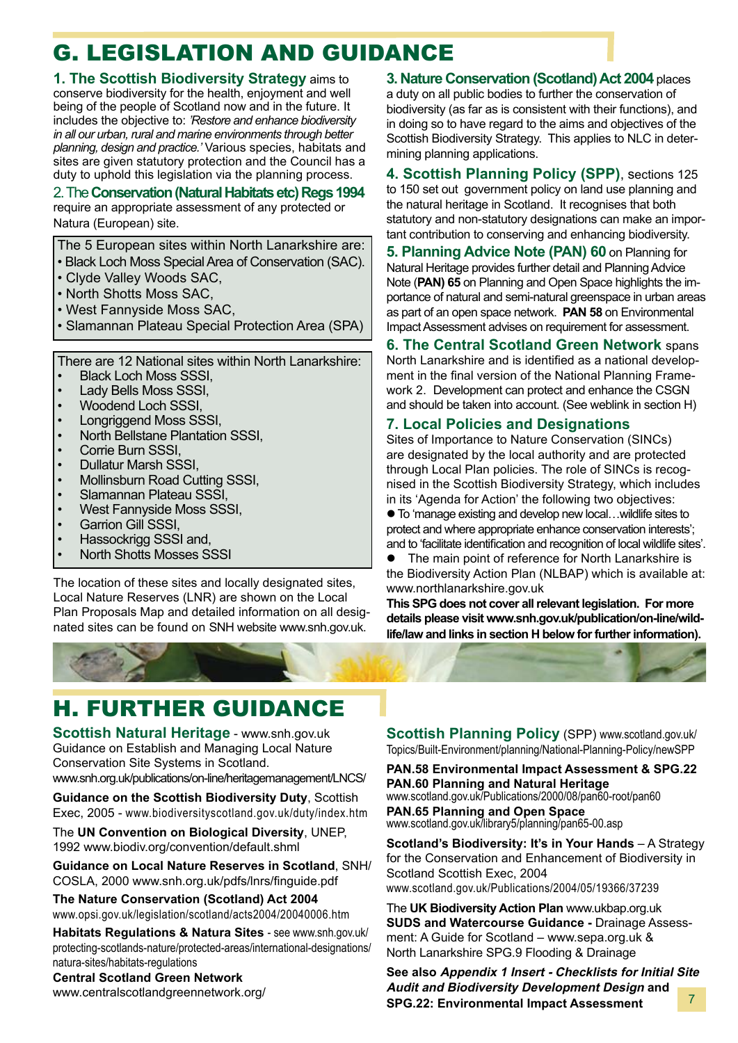## G. LEGISLATION AND GUIDANCE

**1. The Scottish Biodiversity Strategy** aims to conserve biodiversity for the health, enjoyment and well being of the people of Scotland now and in the future. It includes the objective to: *'Restore and enhance biodiversity in all our urban, rural and marine environments through better planning, design and practice.'* Various species, habitats and sites are given statutory protection and the Council has a duty to uphold this legislation via the planning process.

#### 2. The **Conservation (Natural Habitats etc) Regs 1994** require an appropriate assessment of any protected or Natura (European) site.

The 5 European sites within North Lanarkshire are:

- Black Loch Moss Special Area of Conservation (SAC).
- Clyde Valley Woods SAC,
- North Shotts Moss SAC,
- West Fannyside Moss SAC,
- Slamannan Plateau Special Protection Area (SPA)

There are 12 National sites within North Lanarkshire:

- Black Loch Moss SSSI,
- Lady Bells Moss SSSI,
- Woodend Loch SSSI,
- Longriggend Moss SSSI,
- North Bellstane Plantation SSSI,
- Corrie Burn SSSI.
- Dullatur Marsh SSSI,
- Mollinsburn Road Cutting SSSI,
- Slamannan Plateau SSSI,
- West Fannyside Moss SSSI,
- Garrion Gill SSSI.
- Hassockrigg SSSI and,
- North Shotts Mosses SSSI

The location of these sites and locally designated sites, Local Nature Reserves (LNR) are shown on the Local Plan Proposals Map and detailed information on all designated sites can be found on SNH website www.snh.gov.uk.

**3. Nature Conservation (Scotland) Act 2004** places a duty on all public bodies to further the conservation of biodiversity (as far as is consistent with their functions), and in doing so to have regard to the aims and objectives of the Scottish Biodiversity Strategy. This applies to NLC in determining planning applications.

**4. Scottish Planning Policy (SPP)**, sections 125 to 150 set out government policy on land use planning and the natural heritage in Scotland. It recognises that both statutory and non-statutory designations can make an important contribution to conserving and enhancing biodiversity.

**5. Planning Advice Note (PAN) 60** on Planning for Natural Heritage provides further detail and Planning Advice Note (**PAN) 65** on Planning and Open Space highlights the importance of natural and semi-natural greenspace in urban areas as part of an open space network. **PAN 58** on Environmental Impact Assessment advises on requirement for assessment.

**6. The Central Scotland Green Network** spans North Lanarkshire and is identified as a national development in the final version of the National Planning Framework 2. Development can protect and enhance the CSGN and should be taken into account. (See weblink in section H)

#### **7. Local Policies and Designations**

Sites of Importance to Nature Conservation (SINCs) are designated by the local authority and are protected through Local Plan policies. The role of SINCs is recognised in the Scottish Biodiversity Strategy, which includes in its 'Agenda for Action' the following two objectives:

● To 'manage existing and develop new local...wildlife sites to protect and where appropriate enhance conservation interests'; and to 'facilitate identification and recognition of local wildlife sites'.

• The main point of reference for North Lanarkshire is the Biodiversity Action Plan (NLBAP) which is available at: www.northlanarkshire.gov.uk

**This SPG does not cover all relevant legislation. For more details please visit www.snh.gov.uk/publication/on-line/wildlife/law and links in section H below for further information).**

## H. FURTHER GUIDANCE

**Scottish Natural Heritage** - www.snh.gov.uk Guidance on Establish and Managing Local Nature Conservation Site Systems in Scotland. www.snh.org.uk/publications/on-line/heritagemanagement/LNCS/

**Guidance on the Scottish Biodiversity Duty**, Scottish

Exec, 2005 - www.biodiversityscotland.gov.uk/duty/index.htm

The **UN Convention on Biological Diversity**, UNEP, 1992 www.biodiv.org/convention/default.shml

**Guidance on Local Nature Reserves in Scotland**, SNH/ COSLA, 2000 www.snh.org.uk/pdfs/lnrs/finguide.pdf

**The Nature Conservation (Scotland) Act 2004**  www.opsi.gov.uk/legislation/scotland/acts2004/20040006.htm

**Habitats Regulations & Natura Sites** - see www.snh.gov.uk/ protecting-scotlands-nature/protected-areas/international-designations/ natura-sites/habitats-regulations

**Central Scotland Green Network**

www.centralscotlandgreennetwork.org/

**Scottish Planning Policy (SPP) www.scotland.gov.uk/** Topics/Built-Environment/planning/National-Planning-Policy/newSPP

**PAN.58 Environmental Impact Assessment & SPG.22 PAN.60 Planning and Natural Heritage** www.scotland.gov.uk/Publications/2000/08/pan60-root/pan60 **PAN.65 Planning and Open Space** www.scotland.gov.uk/library5/planning/pan65-00.asp

**Scotland's Biodiversity: It's in Your Hands** – A Strategy for the Conservation and Enhancement of Biodiversity in Scotland Scottish Exec, 2004 www.scotland.gov.uk/Publications/2004/05/19366/37239

The **UK Biodiversity Action Plan** www.ukbap.org.uk **SUDS and Watercourse Guidance -** Drainage Assessment: A Guide for Scotland – www.sepa.org.uk & North Lanarkshire SPG.9 Flooding & Drainage

7 **See also Appendix 1 Insert - Checklists for Initial Site Audit and Biodiversity Development Design and SPG.22: Environmental Impact Assessment**